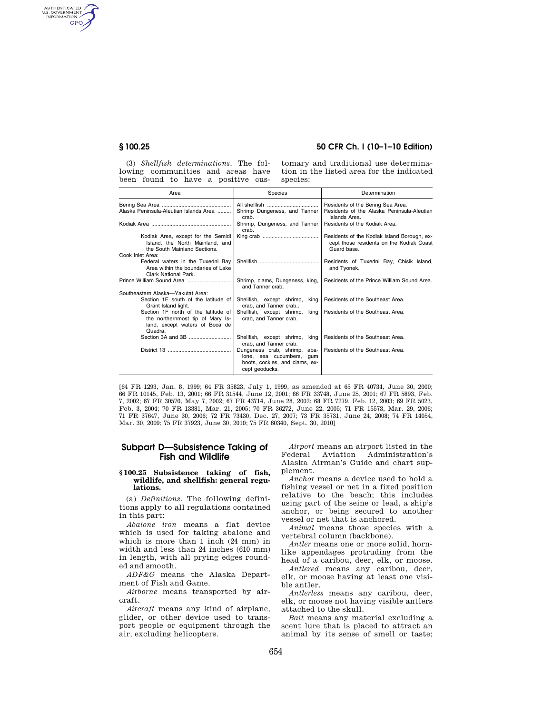AUTHENTICATED<br>U.S. GOVERNMENT<br>INFORMATION **GPO** 

# **§ 100.25 50 CFR Ch. I (10–1–10 Edition)**

(3) *Shellfish determinations.* The following communities and areas have been found to have a positive cus-

tomary and traditional use determination in the listed area for the indicated species:

| Area                                                                                                                 | Species                                                                                                            | Determination                                                                                          |
|----------------------------------------------------------------------------------------------------------------------|--------------------------------------------------------------------------------------------------------------------|--------------------------------------------------------------------------------------------------------|
| Alaska Peninsula-Aleutian Islands Area                                                                               | Shrimp Dungeness, and Tanner<br>crab.                                                                              | Residents of the Bering Sea Area.<br>Residents of the Alaska Peninsula-Aleutian<br>Islands Area.       |
|                                                                                                                      | Shrimp, Dungeness, and Tanner<br>crab.                                                                             | Residents of the Kodiak Area.                                                                          |
| Kodiak Area, except for the Semidi<br>Island, the North Mainland, and<br>the South Mainland Sections.                |                                                                                                                    | Residents of the Kodiak Island Borough, ex-<br>cept those residents on the Kodiak Coast<br>Guard base. |
| Cook Inlet Area:                                                                                                     |                                                                                                                    |                                                                                                        |
| Federal waters in the Tuxedni Bay<br>Area within the boundaries of Lake<br>Clark National Park.                      |                                                                                                                    | Residents of Tuxedni Bay, Chisik Island,<br>and Tyonek.                                                |
|                                                                                                                      | Shrimp, clams, Dungeness, king,<br>and Tanner crab.                                                                | Residents of the Prince William Sound Area.                                                            |
| Southeastern Alaska-Yakutat Area:                                                                                    |                                                                                                                    |                                                                                                        |
| Section 1E south of the latitude of<br>Grant Island light.                                                           | Shellfish, except shrimp,<br>kina<br>crab, and Tanner crab                                                         | Residents of the Southeast Area.                                                                       |
| Section 1F north of the latitude of<br>the northernmost tip of Mary Is-<br>land, except waters of Boca de<br>Quadra. | Shellfish, except shrimp,<br>king<br>crab, and Tanner crab.                                                        | Residents of the Southeast Area.                                                                       |
|                                                                                                                      | Shellfish, except shrimp,<br>king<br>crab. and Tanner crab.                                                        | Residents of the Southeast Area.                                                                       |
|                                                                                                                      | Dungeness crab, shrimp,<br>aba-<br>lone, sea cucumbers,<br>aum<br>boots, cockles, and clams, ex-<br>cept geoducks. | Residents of the Southeast Area.                                                                       |

[64 FR 1293, Jan. 8, 1999; 64 FR 35823, July 1, 1999, as amended at 65 FR 40734, June 30, 2000; 66 FR 10145, Feb. 13, 2001; 66 FR 31544, June 12, 2001; 66 FR 33748, June 25, 2001; 67 FR 5893, Feb. 7, 2002; 67 FR 30570, May 7, 2002; 67 FR 43714, June 28, 2002; 68 FR 7279, Feb. 12, 2003; 69 FR 5023, Feb. 3, 2004; 70 FR 13381, Mar. 21, 2005; 70 FR 36272, June 22, 2005; 71 FR 15573, Mar. 29, 2006; 71 FR 37647, June 30, 2006; 72 FR 73430, Dec. 27, 2007; 73 FR 35731, June 24, 2008; 74 FR 14054, Mar. 30, 2009; 75 FR 37923, June 30, 2010; 75 FR 60340, Sept. 30, 2010]

## **Subpart D—Subsistence Taking of Fish and Wildlife**

#### **§ 100.25 Subsistence taking of fish, wildlife, and shellfish: general regulations.**

(a) *Definitions.* The following definitions apply to all regulations contained in this part:

*Abalone iron* means a flat device which is used for taking abalone and which is more than 1 inch (24 mm) in width and less than 24 inches (610 mm) in length, with all prying edges rounded and smooth.

*ADF&G* means the Alaska Department of Fish and Game.

*Airborne* means transported by aircraft.

*Aircraft* means any kind of airplane, glider, or other device used to transport people or equipment through the air, excluding helicopters.

*Airport* means an airport listed in the Federal Aviation Administration's Alaska Airman's Guide and chart supplement.

*Anchor* means a device used to hold a fishing vessel or net in a fixed position relative to the beach; this includes using part of the seine or lead, a ship's anchor, or being secured to another vessel or net that is anchored.

*Animal* means those species with a vertebral column (backbone).

*Antler* means one or more solid, hornlike appendages protruding from the head of a caribou, deer, elk, or moose.

*Antlered* means any caribou, deer, elk, or moose having at least one visible antler.

*Antlerless* means any caribou, deer, elk, or moose not having visible antlers attached to the skull.

*Bait* means any material excluding a scent lure that is placed to attract an animal by its sense of smell or taste;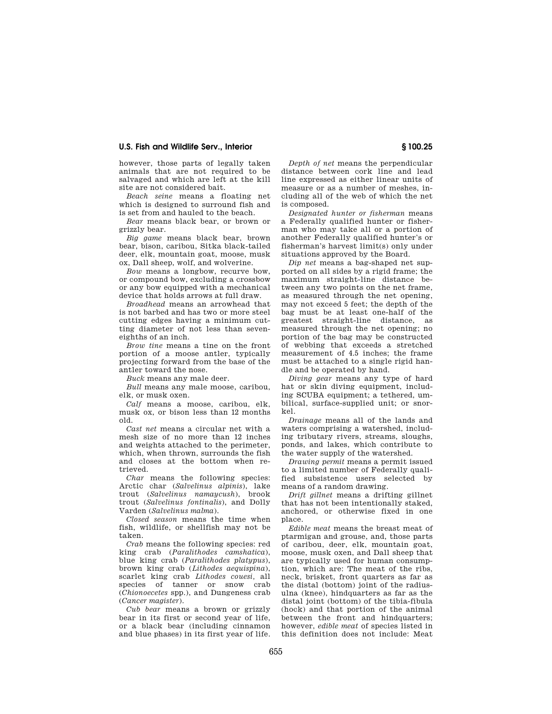however, those parts of legally taken animals that are not required to be salvaged and which are left at the kill site are not considered bait.

*Beach seine* means a floating net which is designed to surround fish and is set from and hauled to the beach.

*Bear* means black bear, or brown or grizzly bear.

*Big game* means black bear, brown bear, bison, caribou, Sitka black-tailed deer, elk, mountain goat, moose, musk ox, Dall sheep, wolf, and wolverine.

*Bow* means a longbow, recurve bow, or compound bow, excluding a crossbow or any bow equipped with a mechanical device that holds arrows at full draw.

*Broadhead* means an arrowhead that is not barbed and has two or more steel cutting edges having a minimum cutting diameter of not less than seveneighths of an inch.

*Brow tine* means a tine on the front portion of a moose antler, typically projecting forward from the base of the antler toward the nose.

*Buck* means any male deer.

*Bull* means any male moose, caribou, elk, or musk oxen.

*Calf* means a moose, caribou, elk, musk ox, or bison less than 12 months old.

*Cast net* means a circular net with a mesh size of no more than 12 inches and weights attached to the perimeter, which, when thrown, surrounds the fish and closes at the bottom when retrieved.

*Char* means the following species: Arctic char (*Salvelinus alpinis*), lake trout (*Salvelinus namaycush*), brook trout (*Salvelinus fontinalis*), and Dolly Varden (*Salvelinus malma*).

*Closed season* means the time when fish, wildlife, or shellfish may not be taken.

*Crab* means the following species: red king crab (*Paralithodes camshatica*), blue king crab (*Paralithodes platypus*), brown king crab (*Lithodes aequispina*), scarlet king crab *Lithodes couesi,* all species of tanner or snow crab (*Chionoecetes* spp.), and Dungeness crab (*Cancer magister*).

*Cub bear* means a brown or grizzly bear in its first or second year of life, or a black bear (including cinnamon and blue phases) in its first year of life.

*Depth of net* means the perpendicular distance between cork line and lead line expressed as either linear units of measure or as a number of meshes, including all of the web of which the net is composed.

*Designated hunter or fisherman* means a Federally qualified hunter or fisherman who may take all or a portion of another Federally qualified hunter's or fisherman's harvest limit(s) only under situations approved by the Board.

*Dip net* means a bag-shaped net supported on all sides by a rigid frame; the maximum straight-line distance between any two points on the net frame, as measured through the net opening, may not exceed 5 feet; the depth of the bag must be at least one-half of the greatest straight-line distance, as measured through the net opening; no portion of the bag may be constructed of webbing that exceeds a stretched measurement of 4.5 inches; the frame must be attached to a single rigid handle and be operated by hand.

*Diving gear* means any type of hard hat or skin diving equipment, including SCUBA equipment; a tethered, umbilical, surface-supplied unit; or snorkel.

*Drainage* means all of the lands and waters comprising a watershed, including tributary rivers, streams, sloughs, ponds, and lakes, which contribute to the water supply of the watershed.

*Drawing permit* means a permit issued to a limited number of Federally qualified subsistence users selected by means of a random drawing.

*Drift gillnet* means a drifting gillnet that has not been intentionally staked, anchored, or otherwise fixed in one place.

*Edible meat* means the breast meat of ptarmigan and grouse, and, those parts of caribou, deer, elk, mountain goat, moose, musk oxen, and Dall sheep that are typically used for human consumption, which are: The meat of the ribs, neck, brisket, front quarters as far as the distal (bottom) joint of the radiusulna (knee), hindquarters as far as the distal joint (bottom) of the tibia-fibula (hock) and that portion of the animal between the front and hindquarters; however, *edible meat* of species listed in this definition does not include: Meat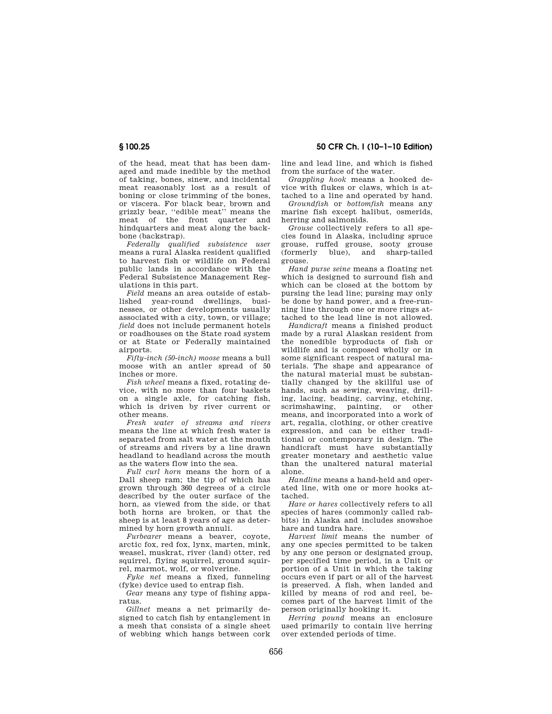of the head, meat that has been damaged and made inedible by the method of taking, bones, sinew, and incidental meat reasonably lost as a result of boning or close trimming of the bones, or viscera. For black bear, brown and grizzly bear, ''edible meat'' means the meat of the front quarter and hindquarters and meat along the backbone (backstrap).

*Federally qualified subsistence user*  means a rural Alaska resident qualified to harvest fish or wildlife on Federal public lands in accordance with the Federal Subsistence Management Regulations in this part.

*Field* means an area outside of established year-round dwellings, businesses, or other developments usually associated with a city, town, or village; *field* does not include permanent hotels or roadhouses on the State road system or at State or Federally maintained airports.

*Fifty-inch (50-inch) moose* means a bull moose with an antler spread of 50 inches or more.

*Fish wheel* means a fixed, rotating device, with no more than four baskets on a single axle, for catching fish, which is driven by river current or other means.

*Fresh water of streams and rivers*  means the line at which fresh water is separated from salt water at the mouth of streams and rivers by a line drawn headland to headland across the mouth as the waters flow into the sea.

*Full curl horn* means the horn of a Dall sheep ram; the tip of which has grown through 360 degrees of a circle described by the outer surface of the horn, as viewed from the side, or that both horns are broken, or that the sheep is at least 8 years of age as determined by horn growth annuli.

*Furbearer* means a beaver, coyote arctic fox, red fox, lynx, marten, mink, weasel, muskrat, river (land) otter, red squirrel, flying squirrel, ground squirrel, marmot, wolf, or wolverine.

*Fyke net* means a fixed, funneling (fyke) device used to entrap fish.

*Gear* means any type of fishing apparatus.

*Gillnet* means a net primarily designed to catch fish by entanglement in a mesh that consists of a single sheet of webbing which hangs between cork

**§ 100.25 50 CFR Ch. I (10–1–10 Edition)** 

line and lead line, and which is fished from the surface of the water.

*Grappling hook* means a hooked device with flukes or claws, which is attached to a line and operated by hand.

*Groundfish* or *bottomfish* means any marine fish except halibut, osmerids, herring and salmonids.

*Grouse* collectively refers to all species found in Alaska, including spruce grouse, ruffed grouse, sooty grouse  $blue$ , and grouse.

*Hand purse seine* means a floating net which is designed to surround fish and which can be closed at the bottom by pursing the lead line; pursing may only be done by hand power, and a free-running line through one or more rings attached to the lead line is not allowed.

*Handicraft* means a finished product made by a rural Alaskan resident from the nonedible byproducts of fish or wildlife and is composed wholly or in some significant respect of natural materials. The shape and appearance of the natural material must be substantially changed by the skillful use of hands, such as sewing, weaving, drilling, lacing, beading, carving, etching, scrimshawing, painting, or other means, and incorporated into a work of art, regalia, clothing, or other creative expression, and can be either traditional or contemporary in design. The handicraft must have substantially greater monetary and aesthetic value than the unaltered natural material alone.

*Handline* means a hand-held and operated line, with one or more hooks attached.

*Hare or hares* collectively refers to all species of hares (commonly called rabbits) in Alaska and includes snowshoe hare and tundra hare.

*Harvest limit* means the number of any one species permitted to be taken by any one person or designated group, per specified time period, in a Unit or portion of a Unit in which the taking occurs even if part or all of the harvest is preserved. A fish, when landed and killed by means of rod and reel, becomes part of the harvest limit of the person originally hooking it.

*Herring pound* means an enclosure used primarily to contain live herring over extended periods of time.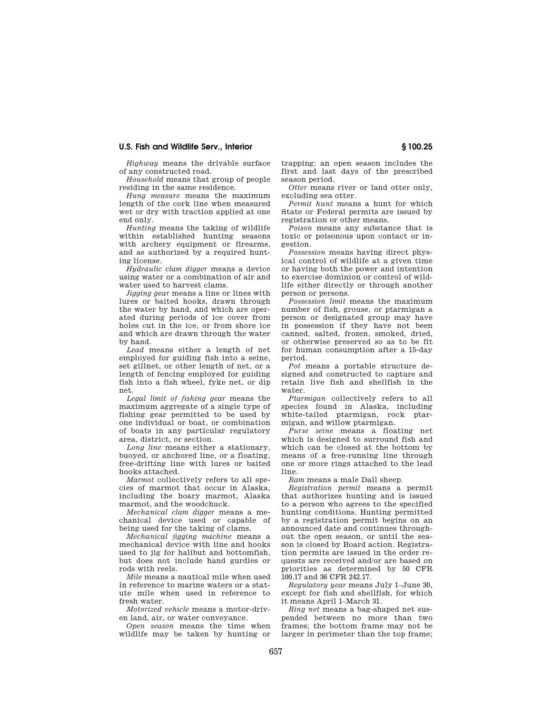*Highway* means the drivable surface of any constructed road.

*Household* means that group of people residing in the same residence.

*Hung measure* means the maximum length of the cork line when measured wet or dry with traction applied at one end only.

*Hunting* means the taking of wildlife within established hunting seasons with archery equipment or firearms, and as authorized by a required hunting license.

*Hydraulic clam digger* means a device using water or a combination of air and water used to harvest clams.

*Jigging gear* means a line or lines with lures or baited hooks, drawn through the water by hand, and which are operated during periods of ice cover from holes cut in the ice, or from shore ice and which are drawn through the water by hand.

*Lead* means either a length of net employed for guiding fish into a seine, set gillnet, or other length of net, or a length of fencing employed for guiding fish into a fish wheel, fyke net, or dip net.

*Legal limit of fishing gear* means the maximum aggregate of a single type of fishing gear permitted to be used by one individual or boat, or combination of boats in any particular regulatory area, district, or section.

*Long line* means either a stationary, buoyed, or anchored line, or a floating, free-drifting line with lures or baited hooks attached.

*Marmot* collectively refers to all species of marmot that occur in Alaska, including the hoary marmot, Alaska marmot, and the woodchuck.

*Mechanical clam digger* means a mechanical device used or capable of being used for the taking of clams.

*Mechanical jigging machine* means a mechanical device with line and hooks used to jig for halibut and bottomfish, but does not include hand gurdies or rods with reels.

*Mile* means a nautical mile when used in reference to marine waters or a statute mile when used in reference to fresh water.

*Motorized vehicle* means a motor-driven land, air, or water conveyance.

*Open season* means the time when wildlife may be taken by hunting or trapping; an open season includes the first and last days of the prescribed season period.

*Otter* means river or land otter only, excluding sea otter.

*Permit hunt* means a hunt for which State or Federal permits are issued by registration or other means.

*Poison* means any substance that is toxic or poisonous upon contact or ingestion.

*Possession* means having direct physical control of wildlife at a given time or having both the power and intention to exercise dominion or control of wildlife either directly or through another person or persons.

*Possession limit* means the maximum number of fish, grouse, or ptarmigan a person or designated group may have in possession if they have not been canned, salted, frozen, smoked, dried, or otherwise preserved so as to be fit for human consumption after a 15-day period.

*Pot* means a portable structure designed and constructed to capture and retain live fish and shellfish in the water.

*Ptarmigan* collectively refers to all species found in Alaska, including white-tailed ptarmigan, rock ptarmigan, and willow ptarmigan.

*Purse seine* means a floating net which is designed to surround fish and which can be closed at the bottom by means of a free-running line through one or more rings attached to the lead line.

*Ram* means a male Dall sheep.

*Registration permit* means a permit that authorizes hunting and is issued to a person who agrees to the specified hunting conditions. Hunting permitted by a registration permit begins on an announced date and continues throughout the open season, or until the season is closed by Board action. Registration permits are issued in the order requests are received and/or are based on priorities as determined by 50 CFR 100.17 and 36 CFR 242.17.

*Regulatory year* means July 1–June 30, except for fish and shellfish, for which it means April 1–March 31.

*Ring net* means a bag-shaped net suspended between no more than two frames; the bottom frame may not be larger in perimeter than the top frame;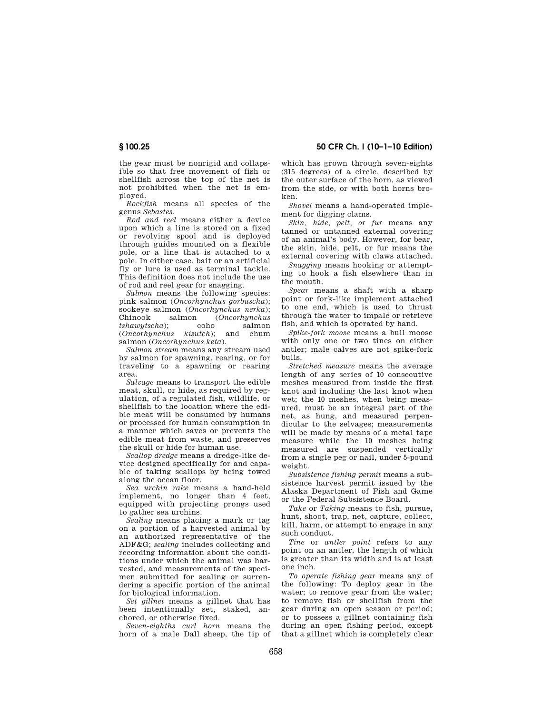**§ 100.25 50 CFR Ch. I (10–1–10 Edition)** 

the gear must be nonrigid and collapsible so that free movement of fish or shellfish across the top of the net is not prohibited when the net is employed.

*Rockfish* means all species of the genus *Sebastes.* 

*Rod and reel* means either a device upon which a line is stored on a fixed or revolving spool and is deployed through guides mounted on a flexible pole, or a line that is attached to a pole. In either case, bait or an artificial fly or lure is used as terminal tackle. This definition does not include the use of rod and reel gear for snagging.

*Salmon* means the following species: pink salmon (*Oncorhynchus gorbuscha*); sockeye salmon (*Oncorhynchus nerka*); Chinook salmon (*Oncorhynchus tshawytscha*); coho salmon<br>(*Oncorhynchus kisutch*); and chum  $(Oncorhynchus)$ salmon (*Oncorhynchus keta*).

*Salmon stream* means any stream used by salmon for spawning, rearing, or for traveling to a spawning or rearing area.

*Salvage* means to transport the edible meat, skull, or hide, as required by regulation, of a regulated fish, wildlife, or shellfish to the location where the edible meat will be consumed by humans or processed for human consumption in a manner which saves or prevents the edible meat from waste, and preserves the skull or hide for human use.

*Scallop dredge* means a dredge-like device designed specifically for and capable of taking scallops by being towed along the ocean floor.

*Sea urchin rake* means a hand-held implement, no longer than 4 feet, equipped with projecting prongs used to gather sea urchins.

*Sealing* means placing a mark or tag on a portion of a harvested animal by an authorized representative of the ADF&G; *sealing* includes collecting and recording information about the conditions under which the animal was harvested, and measurements of the specimen submitted for sealing or surrendering a specific portion of the animal for biological information.

*Set gillnet* means a gillnet that has been intentionally set, staked, anchored, or otherwise fixed.

*Seven-eighths curl horn* means the horn of a male Dall sheep, the tip of which has grown through seven-eights (315 degrees) of a circle, described by the outer surface of the horn, as viewed from the side, or with both horns broken.

*Shovel* means a hand-operated implement for digging clams.

*Skin, hide, pelt, or fur* means any tanned or untanned external covering of an animal's body. However, for bear, the skin, hide, pelt, or fur means the external covering with claws attached.

*Snagging* means hooking or attempting to hook a fish elsewhere than in the mouth.

*Spear* means a shaft with a sharp point or fork-like implement attached to one end, which is used to thrust through the water to impale or retrieve fish, and which is operated by hand.

*Spike-fork moose* means a bull moose with only one or two tines on either antler; male calves are not spike-fork bulls.

*Stretched measure* means the average length of any series of 10 consecutive meshes measured from inside the first knot and including the last knot when wet; the 10 meshes, when being measured, must be an integral part of the net, as hung, and measured perpendicular to the selvages; measurements will be made by means of a metal tape measure while the 10 meshes being measured are suspended vertically from a single peg or nail, under 5-pound weight.

*Subsistence fishing permit* means a subsistence harvest permit issued by the Alaska Department of Fish and Game or the Federal Subsistence Board.

*Take* or *Taking* means to fish, pursue, hunt, shoot, trap, net, capture, collect, kill, harm, or attempt to engage in any such conduct.

*Tine* or *antler point* refers to any point on an antler, the length of which is greater than its width and is at least one inch.

*To operate fishing gear* means any of the following: To deploy gear in the water; to remove gear from the water; to remove fish or shellfish from the gear during an open season or period; or to possess a gillnet containing fish during an open fishing period, except that a gillnet which is completely clear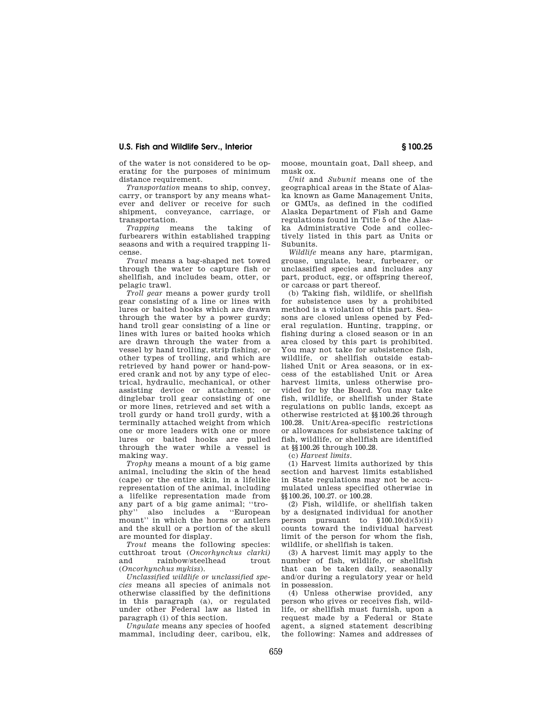of the water is not considered to be operating for the purposes of minimum distance requirement.

*Transportation* means to ship, convey, carry, or transport by any means whatever and deliver or receive for such shipment, conveyance, carriage, or transportation.

*Trapping* means the taking of furbearers within established trapping seasons and with a required trapping license.

*Trawl* means a bag-shaped net towed through the water to capture fish or shellfish, and includes beam, otter, or pelagic trawl.

*Troll gear* means a power gurdy troll gear consisting of a line or lines with lures or baited hooks which are drawn through the water by a power gurdy; hand troll gear consisting of a line or lines with lures or baited hooks which are drawn through the water from a vessel by hand trolling, strip fishing, or other types of trolling, and which are retrieved by hand power or hand-powered crank and not by any type of electrical, hydraulic, mechanical, or other assisting device or attachment; or dinglebar troll gear consisting of one or more lines, retrieved and set with a troll gurdy or hand troll gurdy, with a terminally attached weight from which one or more leaders with one or more lures or baited hooks are pulled through the water while a vessel is making way.

*Trophy* means a mount of a big game animal, including the skin of the head (cape) or the entire skin, in a lifelike representation of the animal, including a lifelike representation made from any part of a big game animal; "tro-<br>phy" also includes a "Europear also includes a "European mount'' in which the horns or antlers and the skull or a portion of the skull are mounted for display.

*Trout* means the following species: cutthroat trout (*Oncorhynchus clarki)*  and rainbow/steelhead trout (*Oncorhynchus mykiss*).

*Unclassified wildlife or unclassified species* means all species of animals not otherwise classified by the definitions in this paragraph (a), or regulated under other Federal law as listed in paragraph (i) of this section.

*Ungulate* means any species of hoofed mammal, including deer, caribou, elk, moose, mountain goat, Dall sheep, and musk ox.

*Unit* and *Subunit* means one of the geographical areas in the State of Alaska known as Game Management Units, or GMUs, as defined in the codified Alaska Department of Fish and Game regulations found in Title 5 of the Alaska Administrative Code and collectively listed in this part as Units or Subunits.

*Wildlife* means any hare, ptarmigan, grouse, ungulate, bear, furbearer, or unclassified species and includes any part, product, egg, or offspring thereof, or carcass or part thereof.

(b) Taking fish, wildlife, or shellfish for subsistence uses by a prohibited method is a violation of this part. Seasons are closed unless opened by Federal regulation. Hunting, trapping, or fishing during a closed season or in an area closed by this part is prohibited. You may not take for subsistence fish, wildlife, or shellfish outside established Unit or Area seasons, or in excess of the established Unit or Area harvest limits, unless otherwise provided for by the Board. You may take fish, wildlife, or shellfish under State regulations on public lands, except as otherwise restricted at §§100.26 through 100.28. Unit/Area-specific restrictions or allowances for subsistence taking of fish, wildlife, or shellfish are identified at §§100.26 through 100.28.

(c) *Harvest limits.* 

(1) Harvest limits authorized by this section and harvest limits established in State regulations may not be accumulated unless specified otherwise in §§100.26, 100.27. or 100.28.

(2) Fish, wildlife, or shellfish taken by a designated individual for another person pursuant to §100.10(d)(5)(ii) counts toward the individual harvest limit of the person for whom the fish, wildlife, or shellfish is taken.

(3) A harvest limit may apply to the number of fish, wildlife, or shellfish that can be taken daily, seasonally and/or during a regulatory year or held in possession.

(4) Unless otherwise provided, any person who gives or receives fish, wildlife, or shellfish must furnish, upon a request made by a Federal or State agent, a signed statement describing the following: Names and addresses of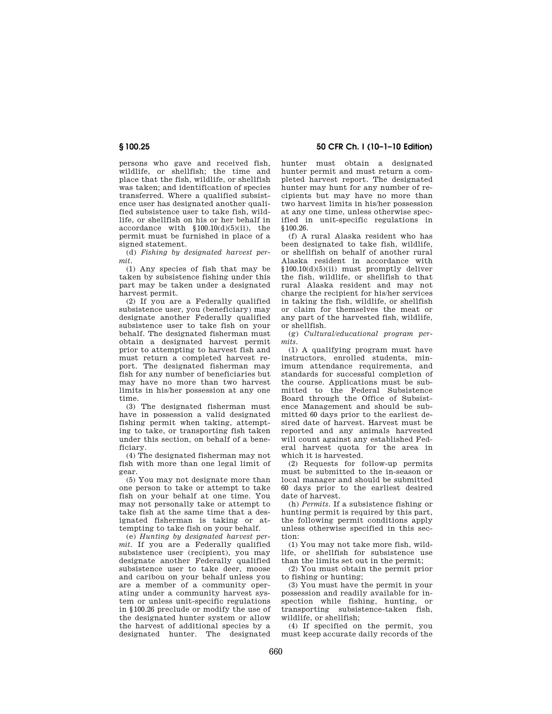persons who gave and received fish, wildlife, or shellfish; the time and place that the fish, wildlife, or shellfish was taken; and identification of species transferred. Where a qualified subsistence user has designated another qualified subsistence user to take fish, wildlife, or shellfish on his or her behalf in accordance with  $$100.10(d)(5)(ii)$ , the permit must be furnished in place of a signed statement.

(d) *Fishing by designated harvest permit.* 

(1) Any species of fish that may be taken by subsistence fishing under this part may be taken under a designated harvest permit.

(2) If you are a Federally qualified subsistence user, you (beneficiary) may designate another Federally qualified subsistence user to take fish on your behalf. The designated fisherman must obtain a designated harvest permit prior to attempting to harvest fish and must return a completed harvest report. The designated fisherman may fish for any number of beneficiaries but may have no more than two harvest limits in his/her possession at any one time.

(3) The designated fisherman must have in possession a valid designated fishing permit when taking, attempting to take, or transporting fish taken under this section, on behalf of a beneficiary.

(4) The designated fisherman may not fish with more than one legal limit of gear.

(5) You may not designate more than one person to take or attempt to take fish on your behalf at one time. You may not personally take or attempt to take fish at the same time that a designated fisherman is taking or attempting to take fish on your behalf.

(e) *Hunting by designated harvest permit.* If you are a Federally qualified subsistence user (recipient), you may designate another Federally qualified subsistence user to take deer, moose and caribou on your behalf unless you are a member of a community operating under a community harvest system or unless unit-specific regulations in §100.26 preclude or modify the use of the designated hunter system or allow the harvest of additional species by a designated hunter. The designated

**§ 100.25 50 CFR Ch. I (10–1–10 Edition)** 

hunter must obtain a designated hunter permit and must return a completed harvest report. The designated hunter may hunt for any number of recipients but may have no more than two harvest limits in his/her possession at any one time, unless otherwise specified in unit-specific regulations in §100.26.

(f) A rural Alaska resident who has been designated to take fish, wildlife, or shellfish on behalf of another rural Alaska resident in accordance with §100.10(d)(5)(ii) must promptly deliver the fish, wildlife, or shellfish to that rural Alaska resident and may not charge the recipient for his/her services in taking the fish, wildlife, or shellfish or claim for themselves the meat or any part of the harvested fish, wildlife, or shellfish.

(g) *Cultural/educational program permits.* 

(1) A qualifying program must have instructors, enrolled students, minimum attendance requirements, and standards for successful completion of the course. Applications must be submitted to the Federal Subsistence Board through the Office of Subsistence Management and should be submitted 60 days prior to the earliest desired date of harvest. Harvest must be reported and any animals harvested will count against any established Federal harvest quota for the area in which it is harvested.

(2) Requests for follow-up permits must be submitted to the in-season or local manager and should be submitted 60 days prior to the earliest desired date of harvest.

(h) *Permits.* If a subsistence fishing or hunting permit is required by this part, the following permit conditions apply unless otherwise specified in this section:

(1) You may not take more fish, wildlife, or shellfish for subsistence use than the limits set out in the permit;

(2) You must obtain the permit prior to fishing or hunting;

(3) You must have the permit in your possession and readily available for inspection while fishing, hunting, or transporting subsistence-taken fish, wildlife, or shellfish;

(4) If specified on the permit, you must keep accurate daily records of the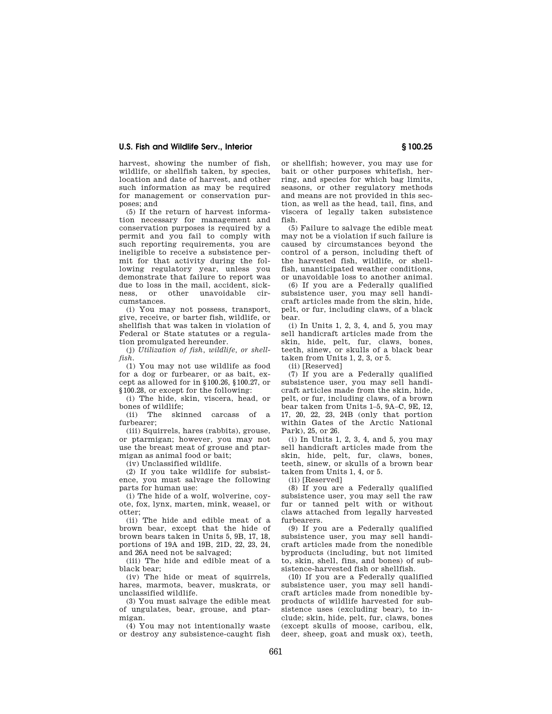harvest, showing the number of fish, wildlife, or shellfish taken, by species, location and date of harvest, and other such information as may be required for management or conservation purposes; and

(5) If the return of harvest information necessary for management and conservation purposes is required by a permit and you fail to comply with such reporting requirements, you are ineligible to receive a subsistence permit for that activity during the following regulatory year, unless you demonstrate that failure to report was due to loss in the mail, accident, sick-<br>ness or other unavoidable cirness, or other unavoidable cumstances.

(i) You may not possess, transport, give, receive, or barter fish, wildlife, or shellfish that was taken in violation of Federal or State statutes or a regulation promulgated hereunder.

(j) *Utilization of fish, wildlife, or shellfish.* 

(1) You may not use wildlife as food for a dog or furbearer, or as bait, except as allowed for in §100.26, §100.27, or §100.28, or except for the following:

(i) The hide, skin, viscera, head, or bones of wildlife;

(ii) The skinned carcass of a furbearer;

(iii) Squirrels, hares (rabbits), grouse, or ptarmigan; however, you may not use the breast meat of grouse and ptarmigan as animal food or bait;

(iv) Unclassified wildlife.

(2) If you take wildlife for subsistence, you must salvage the following parts for human use:

(i) The hide of a wolf, wolverine, coyote, fox, lynx, marten, mink, weasel, or otter;

(ii) The hide and edible meat of a brown bear, except that the hide of brown bears taken in Units 5, 9B, 17, 18, portions of 19A and 19B, 21D, 22, 23, 24, and 26A need not be salvaged;

(iii) The hide and edible meat of a black bear;

(iv) The hide or meat of squirrels, hares, marmots, beaver, muskrats, or unclassified wildlife.

(3) You must salvage the edible meat of ungulates, bear, grouse, and ptarmigan.

(4) You may not intentionally waste or destroy any subsistence-caught fish

or shellfish; however, you may use for bait or other purposes whitefish, herring, and species for which bag limits, seasons, or other regulatory methods and means are not provided in this section, as well as the head, tail, fins, and viscera of legally taken subsistence fish.

(5) Failure to salvage the edible meat may not be a violation if such failure is caused by circumstances beyond the control of a person, including theft of the harvested fish, wildlife, or shellfish, unanticipated weather conditions, or unavoidable loss to another animal.

(6) If you are a Federally qualified subsistence user, you may sell handicraft articles made from the skin, hide, pelt, or fur, including claws, of a black bear.

(i) In Units 1, 2, 3, 4, and 5, you may sell handicraft articles made from the skin, hide, pelt, fur, claws, bones, teeth, sinew, or skulls of a black bear taken from Units 1, 2, 3, or 5.

(ii) [Reserved]

(7) If you are a Federally qualified subsistence user, you may sell handicraft articles made from the skin, hide, pelt, or fur, including claws, of a brown bear taken from Units 1–5, 9A–C, 9E, 12, 17, 20, 22, 23, 24B (only that portion within Gates of the Arctic National Park), 25, or 26.

(i) In Units 1, 2, 3, 4, and 5, you may sell handicraft articles made from the skin, hide, pelt, fur, claws, bones, teeth, sinew, or skulls of a brown bear taken from Units 1, 4, or 5.

(ii) [Reserved]

(8) If you are a Federally qualified subsistence user, you may sell the raw fur or tanned pelt with or without claws attached from legally harvested furbearers.

(9) If you are a Federally qualified subsistence user, you may sell handicraft articles made from the nonedible byproducts (including, but not limited to, skin, shell, fins, and bones) of subsistence-harvested fish or shellfish.

(10) If you are a Federally qualified subsistence user, you may sell handicraft articles made from nonedible byproducts of wildlife harvested for subsistence uses (excluding bear), to include; skin, hide, pelt, fur, claws, bones (except skulls of moose, caribou, elk, deer, sheep, goat and musk ox), teeth,